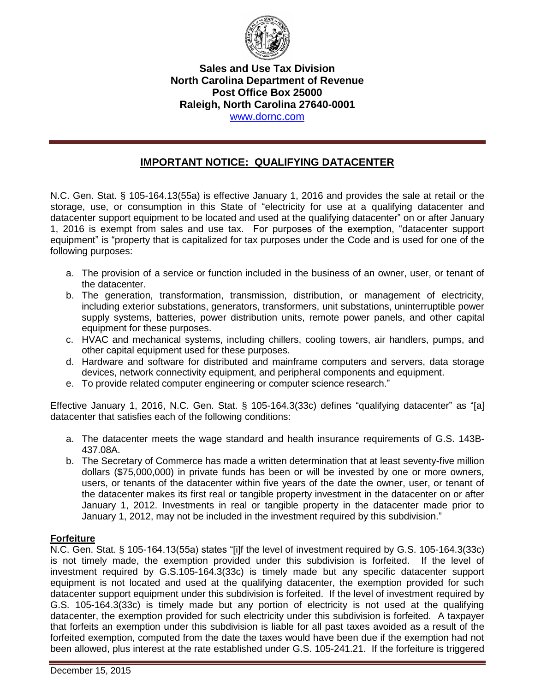

## **Sales and Use Tax Division North Carolina Department of Revenue Post Office Box 25000 Raleigh, North Carolina 27640-0001**  www.dornc.com

## **IMPORTANT NOTICE: QUALIFYING DATACENTER**

N.C. Gen. Stat. § 105-164.13(55a) is effective January 1, 2016 and provides the sale at retail or the storage, use, or consumption in this State of "electricity for use at a qualifying datacenter and datacenter support equipment to be located and used at the qualifying datacenter" on or after January 1, 2016 is exempt from sales and use tax. For purposes of the exemption, "datacenter support equipment" is "property that is capitalized for tax purposes under the Code and is used for one of the following purposes:

- a. The provision of a service or function included in the business of an owner, user, or tenant of the datacenter.
- b. The generation, transformation, transmission, distribution, or management of electricity, including exterior substations, generators, transformers, unit substations, uninterruptible power supply systems, batteries, power distribution units, remote power panels, and other capital equipment for these purposes.
- c. HVAC and mechanical systems, including chillers, cooling towers, air handlers, pumps, and other capital equipment used for these purposes.
- d. Hardware and software for distributed and mainframe computers and servers, data storage devices, network connectivity equipment, and peripheral components and equipment.
- e. To provide related computer engineering or computer science research."

Effective January 1, 2016, N.C. Gen. Stat. § 105-164.3(33c) defines "qualifying datacenter" as "[a] datacenter that satisfies each of the following conditions:

- a. The datacenter meets the wage standard and health insurance requirements of G.S. 143B-437.08A.
- b. The Secretary of Commerce has made a written determination that at least seventy-five million dollars (\$75,000,000) in private funds has been or will be invested by one or more owners, users, or tenants of the datacenter within five years of the date the owner, user, or tenant of the datacenter makes its first real or tangible property investment in the datacenter on or after January 1, 2012. Investments in real or tangible property in the datacenter made prior to January 1, 2012, may not be included in the investment required by this subdivision."

## **Forfeiture**

N.C. Gen. Stat. § 105-164.13(55a) states "[i]f the level of investment required by G.S. 105-164.3(33c) is not timely made, the exemption provided under this subdivision is forfeited. If the level of investment required by G.S.105-164.3(33c) is timely made but any specific datacenter support equipment is not located and used at the qualifying datacenter, the exemption provided for such datacenter support equipment under this subdivision is forfeited. If the level of investment required by G.S. 105-164.3(33c) is timely made but any portion of electricity is not used at the qualifying datacenter, the exemption provided for such electricity under this subdivision is forfeited. A taxpayer that forfeits an exemption under this subdivision is liable for all past taxes avoided as a result of the forfeited exemption, computed from the date the taxes would have been due if the exemption had not been allowed, plus interest at the rate established under G.S. 105-241.21. If the forfeiture is triggered